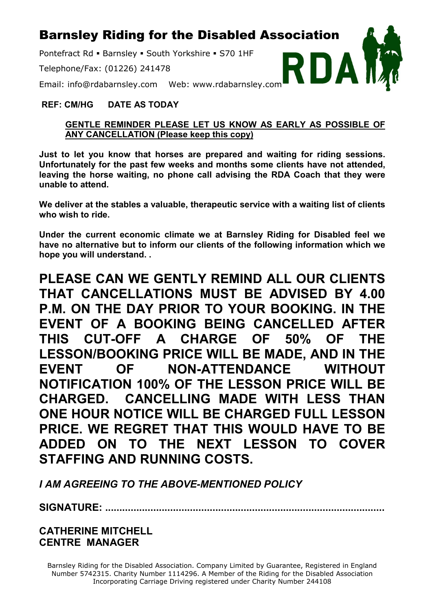## Barnsley Riding for the Disabled Association

Pontefract Rd · Barnsley · South Yorkshire · S70 1HF

Telephone/Fax: (01226) 241478



Email: info@rdabarnsley.com Web: www.rdabarnsley.com

#### **REF: CM/HG DATE AS TODAY**

#### **GENTLE REMINDER PLEASE LET US KNOW AS EARLY AS POSSIBLE OF ANY CANCELLATION (Please keep this copy)**

**Just to let you know that horses are prepared and waiting for riding sessions. Unfortunately for the past few weeks and months some clients have not attended, leaving the horse waiting, no phone call advising the RDA Coach that they were unable to attend.**

**We deliver at the stables a valuable, therapeutic service with a waiting list of clients who wish to ride.** 

**Under the current economic climate we at Barnsley Riding for Disabled feel we have no alternative but to inform our clients of the following information which we hope you will understand. .**

**PLEASE CAN WE GENTLY REMIND ALL OUR CLIENTS THAT CANCELLATIONS MUST BE ADVISED BY 4.00 P.M. ON THE DAY PRIOR TO YOUR BOOKING. IN THE EVENT OF A BOOKING BEING CANCELLED AFTER THIS CUT-OFF A CHARGE OF 50% OF THE LESSON/BOOKING PRICE WILL BE MADE, AND IN THE EVENT OF NON-ATTENDANCE WITHOUT NOTIFICATION 100% OF THE LESSON PRICE WILL BE CHARGED. CANCELLING MADE WITH LESS THAN ONE HOUR NOTICE WILL BE CHARGED FULL LESSON PRICE. WE REGRET THAT THIS WOULD HAVE TO BE ADDED ON TO THE NEXT LESSON TO COVER STAFFING AND RUNNING COSTS.**

*I AM AGREEING TO THE ABOVE-MENTIONED POLICY* 

**SIGNATURE: ...................................................................................................**

**CATHERINE MITCHELL CENTRE MANAGER**

Barnsley Riding for the Disabled Association. Company Limited by Guarantee, Registered in England Number 5742315. Charity Number 1114296. A Member of the Riding for the Disabled Association Incorporating Carriage Driving registered under Charity Number 244108